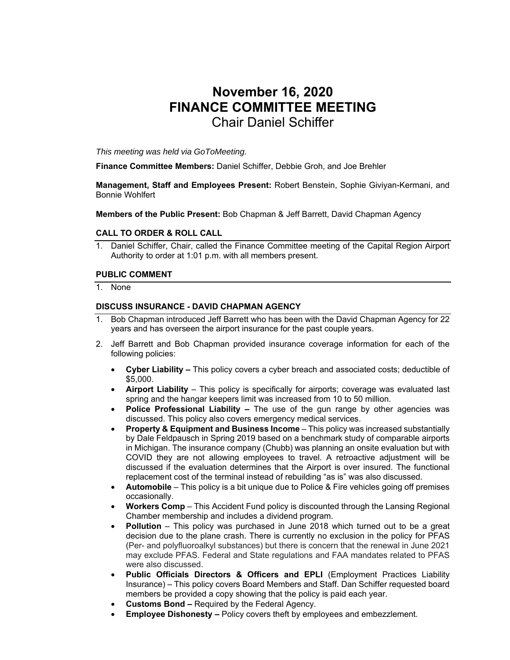# **November 16, 2020 FINANCE COMMITTEE MEETING**  Chair Daniel Schiffer

*This meeting was held via GoToMeeting.* 

**Finance Committee Members:** Daniel Schiffer, Debbie Groh, and Joe Brehler

**Management, Staff and Employees Present:** Robert Benstein, Sophie Giviyan-Kermani, and Bonnie Wohlfert

**Members of the Public Present:** Bob Chapman & Jeff Barrett, David Chapman Agency

## **CALL TO ORDER & ROLL CALL**

1. Daniel Schiffer, Chair, called the Finance Committee meeting of the Capital Region Airport Authority to order at 1:01 p.m. with all members present.

## **PUBLIC COMMENT**

1. None

## **DISCUSS INSURANCE - DAVID CHAPMAN AGENCY**

- 1. Bob Chapman introduced Jeff Barrett who has been with the David Chapman Agency for 22 years and has overseen the airport insurance for the past couple years.
- 2. Jeff Barrett and Bob Chapman provided insurance coverage information for each of the following policies:
	- **Cyber Liability** This policy covers a cyber breach and associated costs; deductible of \$5,000.
	- **Airport Liability** This policy is specifically for airports; coverage was evaluated last spring and the hangar keepers limit was increased from 10 to 50 million.
	- **Police Professional Liability** The use of the gun range by other agencies was discussed. This policy also covers emergency medical services.
	- **Property & Equipment and Business Income** This policy was increased substantially by Dale Feldpausch in Spring 2019 based on a benchmark study of comparable airports in Michigan. The insurance company (Chubb) was planning an onsite evaluation but with COVID they are not allowing employees to travel. A retroactive adjustment will be discussed if the evaluation determines that the Airport is over insured. The functional replacement cost of the terminal instead of rebuilding "as is" was also discussed.
	- **Automobile** This policy is a bit unique due to Police & Fire vehicles going off premises occasionally.
	- **Workers Comp** This Accident Fund policy is discounted through the Lansing Regional Chamber membership and includes a dividend program.
	- **Pollution** This policy was purchased in June 2018 which turned out to be a great decision due to the plane crash. There is currently no exclusion in the policy for PFAS (Per- and polyfluoroalkyl substances) but there is concern that the renewal in June 2021 may exclude PFAS. Federal and State regulations and FAA mandates related to PFAS were also discussed.
	- **Public Officials Directors & Officers and EPLI** (Employment Practices Liability Insurance) – This policy covers Board Members and Staff. Dan Schiffer requested board members be provided a copy showing that the policy is paid each year.
	- **Customs Bond** Required by the Federal Agency.
	- **Employee Dishonesty Policy covers theft by employees and embezzlement.**